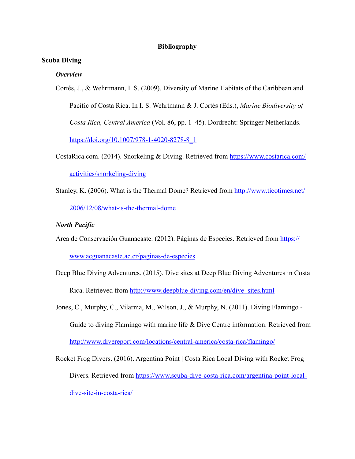## **Bibliography**

## **Scuba Diving**

#### *Overview*

Cortés, J., & Wehrtmann, I. S. (2009). Diversity of Marine Habitats of the Caribbean and Pacific of Costa Rica. In I. S. Wehrtmann & J. Cortés (Eds.), *Marine Biodiversity of Costa Rica, Central America* (Vol. 86, pp. 1–45). Dordrecht: Springer Netherlands. [https://doi.org/10.1007/978-1-4020-8278-8\\_1](https://doi.org/10.1007/978-1-4020-8278-8_1)

- CostaRica.com. (2014). Snorkeling & Diving. Retrieved from [https://www.costarica.com/](https://www.costarica.com/activities/snorkeling-diving) [activities/snorkeling-diving](https://www.costarica.com/activities/snorkeling-diving)
- Stanley, K. (2006). What is the Thermal Dome? Retrieved from [http://www.ticotimes.net/](http://www.ticotimes.net/2006/12/08/what-is-the-thermal-dome) [2006/12/08/what-is-the-thermal-dome](http://www.ticotimes.net/2006/12/08/what-is-the-thermal-dome)

#### *North Pacific*

Área de Conservación Guanacaste. (2012). Páginas de Especies. Retrieved from [https://](https://www.acguanacaste.ac.cr/paginas-de-especies)

[www.acguanacaste.ac.cr/paginas-de-especies](https://www.acguanacaste.ac.cr/paginas-de-especies)

- Deep Blue Diving Adventures. (2015). Dive sites at Deep Blue Diving Adventures in Costa Rica. Retrieved from [http://www.deepblue-diving.com/en/dive\\_sites.html](http://www.deepblue-diving.com/en/dive_sites.html)
- Jones, C., Murphy, C., Vilarma, M., Wilson, J., & Murphy, N. (2011). Diving Flamingo Guide to diving Flamingo with marine life & Dive Centre information. Retrieved from <http://www.divereport.com/locations/central-america/costa-rica/flamingo/>
- Rocket Frog Divers. (2016). Argentina Point | Costa Rica Local Diving with Rocket Frog Divers. Retrieved from [https://www.scuba-dive-costa-rica.com/argentina-point-local](https://www.scuba-dive-costa-rica.com/argentina-point-local-dive-site-in-costa-rica/)[dive-site-in-costa-rica/](https://www.scuba-dive-costa-rica.com/argentina-point-local-dive-site-in-costa-rica/)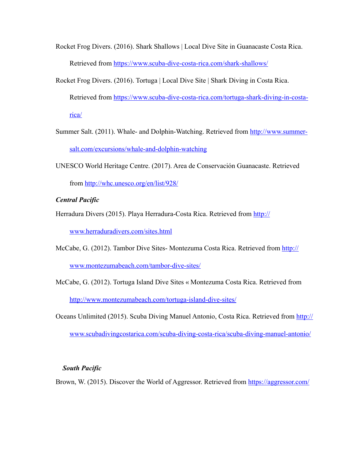- Rocket Frog Divers. (2016). Shark Shallows | Local Dive Site in Guanacaste Costa Rica. Retrieved from <https://www.scuba-dive-costa-rica.com/shark-shallows/>
- Rocket Frog Divers. (2016). Tortuga | Local Dive Site | Shark Diving in Costa Rica. Retrieved from [https://www.scuba-dive-costa-rica.com/tortuga-shark-diving-in-costa](https://www.scuba-dive-costa-rica.com/tortuga-shark-diving-in-costa-rica/)[rica/](https://www.scuba-dive-costa-rica.com/tortuga-shark-diving-in-costa-rica/)
- Summer Salt. (2011). Whale- and Dolphin-Watching. Retrieved from [http://www.summer](http://www.summer-salt.com/excursions/whale-and-dolphin-watching)[salt.com/excursions/whale-and-dolphin-watching](http://www.summer-salt.com/excursions/whale-and-dolphin-watching)
- UNESCO World Heritage Centre. (2017). Area de Conservación Guanacaste. Retrieved from<http://whc.unesco.org/en/list/928/>

## *Central Pacific*

Herradura Divers (2015). Playa Herradura-Costa Rica. Retrieved from [http://](http://www.herraduradivers.com/sites.html)

[www.herraduradivers.com/sites.html](http://www.herraduradivers.com/sites.html)

McCabe, G. (2012). Tambor Dive Sites-Montezuma Costa Rica. Retrieved from [http://](http://www.montezumabeach.com/tambor-dive-sites/)

[www.montezumabeach.com/tambor-dive-sites/](http://www.montezumabeach.com/tambor-dive-sites/)

- McCabe, G. (2012). Tortuga Island Dive Sites « Montezuma Costa Rica. Retrieved from <http://www.montezumabeach.com/tortuga-island-dive-sites/>
- Oceans Unlimited (2015). Scuba Diving Manuel Antonio, Costa Rica. Retrieved from [http://](http://www.scubadivingcostarica.com/scuba-diving-costa-rica/scuba-diving-manuel-antonio/) [www.scubadivingcostarica.com/scuba-diving-costa-rica/scuba-diving-manuel-antonio/](http://www.scubadivingcostarica.com/scuba-diving-costa-rica/scuba-diving-manuel-antonio/)

# *South Pacific*

Brown, W. (2015). Discover the World of Aggressor. Retrieved from<https://aggressor.com/>